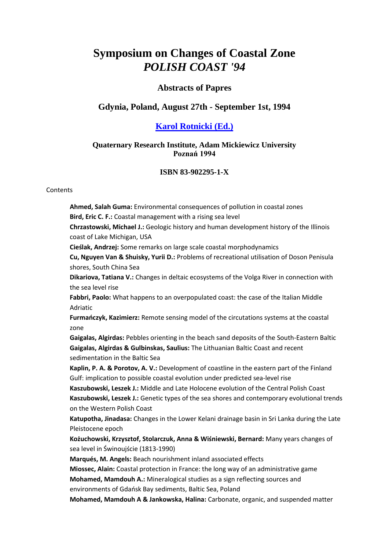# **Symposium on Changes of Coastal Zone**  *POLISH COAST '94*

### **Abstracts of Papres**

## **Gdynia, Poland, August 27th - September 1st, 1994**

## **[Karol Rotnicki \(Ed.\)](mailto:rotnicki@amu.edu.pl)**

#### **Quaternary Research Institute, Adam Mickiewicz University Poznań 1994**

#### **ISBN 83-902295-1-X**

#### **Contents**

**Ahmed, Salah Guma:** Environmental consequences of pollution in coastal zones **Bird, Eric C. F.:** Coastal management with a rising sea level **Chrzastowski, Michael J.:** Geologic history and human development history of the Illinois coast of Lake Michigan, USA **Cieślak, Andrzej:** Some remarks on large scale coastal morphodynamics **Cu, Nguyen Van & Shuisky, Yurii D.:** Problems of recreational utilisation of Doson Penisula shores, South China Sea **Dikariova, Tatiana V.:** Changes in deltaic ecosystems of the Volga River in connection with the sea level rise **Fabbri, Paolo:** What happens to an overpopulated coast: the case of the Italian Middle Adriatic **Furmańczyk, Kazimierz:** Remote sensing model of the circutations systems at the coastal zone **Gaigalas, Algirdas:** Pebbles orienting in the beach sand deposits of the South-Eastern Baltic **Gaigalas, Algirdas & Gulbinskas, Saulius:** The Lithuanian Baltic Coast and recent sedimentation in the Baltic Sea **Kaplin, P. A. & Porotov, A. V.:** Development of coastline in the eastern part of the Finland Gulf: implication to possible coastal evolution under predicted sea-level rise **Kaszubowski, Leszek J.:** Middle and Late Holocene evolution of the Central Polish Coast **Kaszubowski, Leszek J.:** Genetic types of the sea shores and contemporary evolutional trends on the Western Polish Coast **Katupotha, Jinadasa:** Changes in the Lower Kelani drainage basin in Sri Lanka during the Late Pleistocene epoch **Kożuchowski, Krzysztof, Stolarczuk, Anna & Wiśniewski, Bernard:** Many years changes of sea level in Świnoujście (1813-1990) **Marqués, M. Angels:** Beach nourishment inland associated effects **Miossec, Alain:** Coastal protection in France: the long way of an administrative game **Mohamed, Mamdouh A.:** Mineralogical studies as a sign reflecting sources and environments of Gdańsk Bay sediments, Baltic Sea, Poland **Mohamed, Mamdouh A & Jankowska, Halina:** Carbonate, organic, and suspended matter